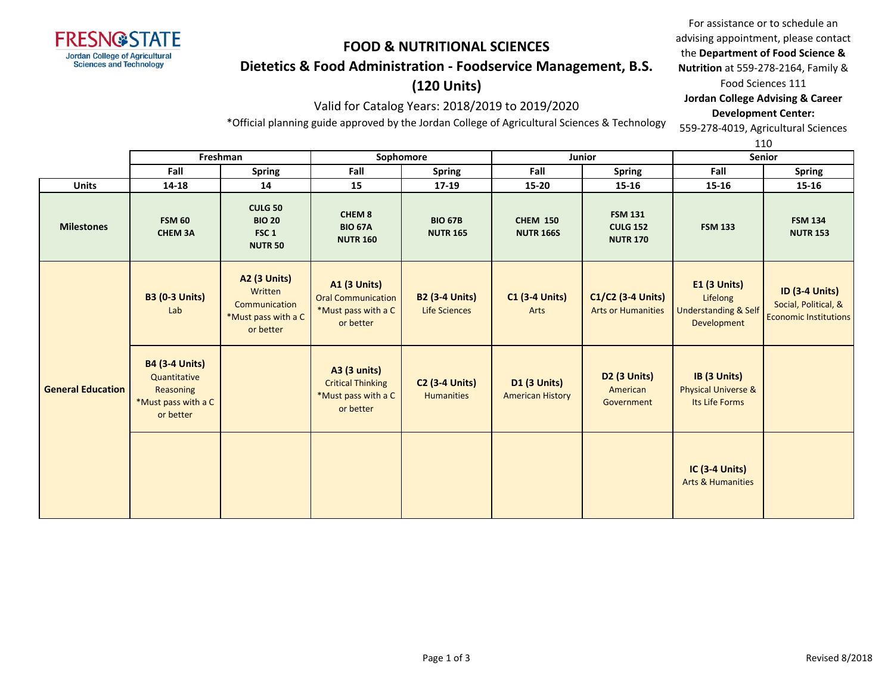

## **Dietetics & Food Administration - Foodservice Management, B.S.**

## **(120 Units)**

### Valid for Catalog Years: 2018/2019 to 2019/2020

For assistance or to schedule an advising appointment, please contact the **Department of Food Science & Nutrition** at 559-278-2164, Family & Food Sciences 111 **Jordan College Advising & Career Development Center:** 559-278-4019, Agricultural Sciences

\*Official planning guide approved by the Jordan College of Agricultural Sciences & Technology

110

|                          | Freshman                                                                               |                                                                              |                                                                                      | Sophomore                                  |                                                | Junior                                               | ᆠᆂᇦ<br><b>Senior</b>                                                              |                                                                               |
|--------------------------|----------------------------------------------------------------------------------------|------------------------------------------------------------------------------|--------------------------------------------------------------------------------------|--------------------------------------------|------------------------------------------------|------------------------------------------------------|-----------------------------------------------------------------------------------|-------------------------------------------------------------------------------|
|                          | Fall                                                                                   | <b>Spring</b>                                                                | Fall                                                                                 | <b>Spring</b>                              | Fall                                           | Spring                                               | Fall                                                                              | <b>Spring</b>                                                                 |
| <b>Units</b>             | 14-18                                                                                  | 14                                                                           | 15                                                                                   | $17 - 19$                                  | 15-20                                          | 15-16                                                | 15-16                                                                             | 15-16                                                                         |
| <b>Milestones</b>        | <b>FSM 60</b><br><b>CHEM 3A</b>                                                        | <b>CULG 50</b><br><b>BIO 20</b><br>FSC <sub>1</sub><br><b>NUTR 50</b>        | CHEM <sub>8</sub><br><b>BIO 67A</b><br><b>NUTR 160</b>                               | <b>BIO 67B</b><br><b>NUTR 165</b>          | <b>CHEM 150</b><br><b>NUTR 166S</b>            | <b>FSM 131</b><br><b>CULG 152</b><br><b>NUTR 170</b> | <b>FSM 133</b>                                                                    | <b>FSM 134</b><br><b>NUTR 153</b>                                             |
|                          | <b>B3 (0-3 Units)</b><br>Lab                                                           | A2 (3 Units)<br>Written<br>Communication<br>*Must pass with a C<br>or better | <b>A1 (3 Units)</b><br><b>Oral Communication</b><br>*Must pass with a C<br>or better | <b>B2 (3-4 Units)</b><br>Life Sciences     | <b>C1 (3-4 Units)</b><br>Arts                  | $C1/C2$ (3-4 Units)<br><b>Arts or Humanities</b>     | <b>E1 (3 Units)</b><br>Lifelong<br><b>Understanding &amp; Self</b><br>Development | <b>ID (3-4 Units)</b><br>Social, Political, &<br><b>Economic Institutions</b> |
| <b>General Education</b> | <b>B4 (3-4 Units)</b><br>Quantitative<br>Reasoning<br>*Must pass with a C<br>or better |                                                                              | <b>A3 (3 units)</b><br><b>Critical Thinking</b><br>*Must pass with a C<br>or better  | <b>C2 (3-4 Units)</b><br><b>Humanities</b> | <b>D1 (3 Units)</b><br><b>American History</b> | <b>D2 (3 Units)</b><br>American<br>Government        | IB (3 Units)<br><b>Physical Universe &amp;</b><br>Its Life Forms                  |                                                                               |
|                          |                                                                                        |                                                                              |                                                                                      |                                            |                                                |                                                      | <b>IC (3-4 Units)</b><br><b>Arts &amp; Humanities</b>                             |                                                                               |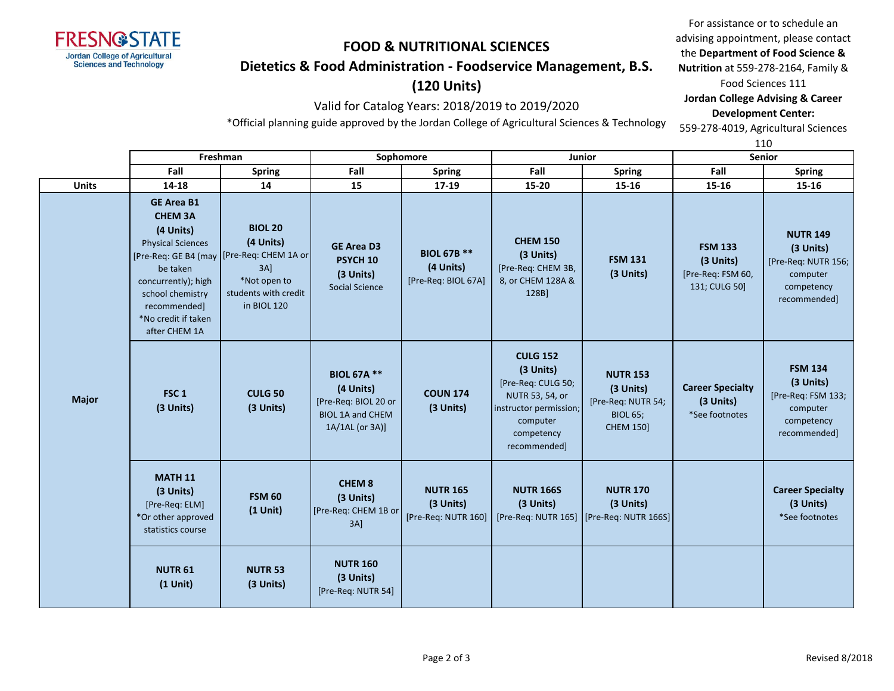

## **Dietetics & Food Administration - Foodservice Management, B.S.**

# **(120 Units)**

### Valid for Catalog Years: 2018/2019 to 2019/2020

For assistance or to schedule an advising appointment, please contact the **Department of Food Science & Nutrition** at 559-278-2164, Family & Food Sciences 111 **Jordan College Advising & Career Development Center:** 559-278-4019, Agricultural Sciences

\*Official planning guide approved by the Jordan College of Agricultural Sciences & Technology

110

|              | Freshman                                                                                                                                                                                    |                                                                                                                                           | Sophomore                                                                                             |                                                        |                                                                                                                                           | Junior                                                                                    | <b>Senior</b>                                                     |                                                                                               |
|--------------|---------------------------------------------------------------------------------------------------------------------------------------------------------------------------------------------|-------------------------------------------------------------------------------------------------------------------------------------------|-------------------------------------------------------------------------------------------------------|--------------------------------------------------------|-------------------------------------------------------------------------------------------------------------------------------------------|-------------------------------------------------------------------------------------------|-------------------------------------------------------------------|-----------------------------------------------------------------------------------------------|
|              | Fall                                                                                                                                                                                        | <b>Spring</b>                                                                                                                             | Fall                                                                                                  | <b>Spring</b>                                          | Fall                                                                                                                                      | <b>Spring</b>                                                                             | Fall                                                              | <b>Spring</b>                                                                                 |
| <b>Units</b> | 14-18                                                                                                                                                                                       | 14                                                                                                                                        | 15                                                                                                    | 17-19                                                  | 15-20                                                                                                                                     | 15-16                                                                                     | 15-16                                                             | 15-16                                                                                         |
|              | <b>GE Area B1</b><br><b>CHEM 3A</b><br>(4 Units)<br><b>Physical Sciences</b><br>be taken<br>concurrently); high<br>school chemistry<br>recommended]<br>*No credit if taken<br>after CHEM 1A | <b>BIOL 20</b><br>(4 Units)<br>[Pre-Req: GE B4 (may [Pre-Req: CHEM 1A or<br>$3A$ ]<br>*Not open to<br>students with credit<br>in BIOL 120 | <b>GE Area D3</b><br>PSYCH <sub>10</sub><br>(3 Units)<br><b>Social Science</b>                        | <b>BIOL 67B **</b><br>(4 Units)<br>[Pre-Req: BIOL 67A] | <b>CHEM 150</b><br>(3 Units)<br>[Pre-Req: CHEM 3B,<br>8, or CHEM 128A &<br>128B]                                                          | <b>FSM 131</b><br>(3 Units)                                                               | <b>FSM 133</b><br>(3 Units)<br>[Pre-Req: FSM 60,<br>131; CULG 50] | <b>NUTR 149</b><br>(3 Units)<br>[Pre-Req: NUTR 156;<br>computer<br>competency<br>recommended] |
| <b>Major</b> | FSC <sub>1</sub><br>(3 Units)                                                                                                                                                               | <b>CULG 50</b><br>(3 Units)                                                                                                               | <b>BIOL 67A **</b><br>(4 Units)<br>[Pre-Req: BIOL 20 or<br><b>BIOL 1A and CHEM</b><br>1A/1AL (or 3A)] | <b>COUN 174</b><br>(3 Units)                           | <b>CULG 152</b><br>(3 Units)<br>[Pre-Req: CULG 50;<br>NUTR 53, 54, or<br>instructor permission;<br>computer<br>competency<br>recommended] | <b>NUTR 153</b><br>(3 Units)<br>[Pre-Req: NUTR 54;<br><b>BIOL 65;</b><br><b>CHEM 150]</b> | <b>Career Specialty</b><br>(3 Units)<br>*See footnotes            | <b>FSM 134</b><br>(3 Units)<br>[Pre-Req: FSM 133;<br>computer<br>competency<br>recommended]   |
|              | <b>MATH 11</b><br>(3 Units)<br>[Pre-Req: ELM]<br>*Or other approved<br>statistics course                                                                                                    | <b>FSM 60</b><br>$(1$ Unit)                                                                                                               | <b>CHEM 8</b><br>(3 Units)<br>[Pre-Req: CHEM 1B or<br>$3A$ ]                                          | <b>NUTR 165</b><br>(3 Units)<br>[Pre-Req: NUTR 160]    | <b>NUTR 166S</b><br>(3 Units)                                                                                                             | <b>NUTR 170</b><br>(3 Units)<br>[Pre-Req: NUTR 165] [Pre-Req: NUTR 166S]                  |                                                                   | <b>Career Specialty</b><br>(3 Units)<br>*See footnotes                                        |
|              | <b>NUTR 61</b><br>$(1$ Unit)                                                                                                                                                                | <b>NUTR 53</b><br>(3 Units)                                                                                                               | <b>NUTR 160</b><br>(3 Units)<br>[Pre-Req: NUTR 54]                                                    |                                                        |                                                                                                                                           |                                                                                           |                                                                   |                                                                                               |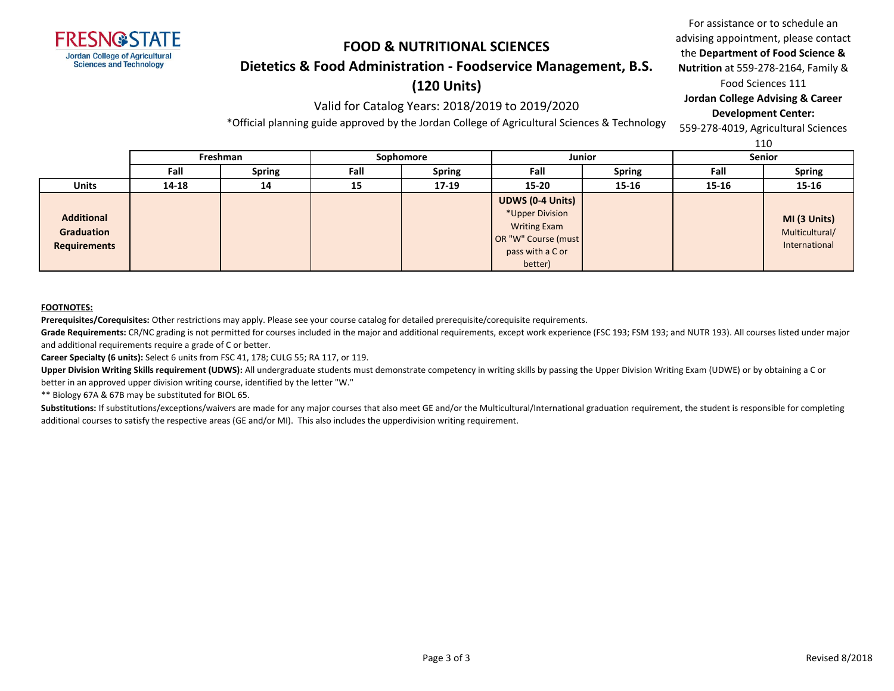

### **Dietetics & Food Administration - Foodservice Management, B.S.**

## **(120 Units)**

### Valid for Catalog Years: 2018/2019 to 2019/2020

\*Official planning guide approved by the Jordan College of Agricultural Sciences & Technology

For assistance or to schedule an advising appointment, please contact the **Department of Food Science & Nutrition** at 559-278-2164, Family & Food Sciences 111 **Jordan College Advising & Career Development Center:**

559-278-4019, Agricultural Sciences

110

|                                                 |          |               |           |               |                                                                                                                         |               |               | ᆠᆂᇦ                                             |
|-------------------------------------------------|----------|---------------|-----------|---------------|-------------------------------------------------------------------------------------------------------------------------|---------------|---------------|-------------------------------------------------|
|                                                 | Freshman |               | Sophomore |               | <b>Junior</b>                                                                                                           |               | <b>Senior</b> |                                                 |
|                                                 | Fall     | <b>Spring</b> | Fall      | <b>Spring</b> | Fall                                                                                                                    | <b>Spring</b> | Fall          | <b>Spring</b>                                   |
| <b>Units</b>                                    | 14-18    | 14            | 15        | $17-19$       | $15 - 20$                                                                                                               | 15-16         | $15 - 16$     | 15-16                                           |
| <b>Additional</b><br>Graduation<br>Requirements |          |               |           |               | <b>UDWS (0-4 Units)</b><br>*Upper Division<br><b>Writing Exam</b><br>OR "W" Course (must<br>pass with a C or<br>better) |               |               | MI (3 Units)<br>Multicultural/<br>International |

#### **FOOTNOTES:**

**Prerequisites/Corequisites:** Other restrictions may apply. Please see your course catalog for detailed prerequisite/corequisite requirements.

Grade Requirements: CR/NC grading is not permitted for courses included in the major and additional requirements, except work experience (FSC 193; FSM 193; and NUTR 193). All courses listed under major and additional requirements require a grade of C or better.

**Career Specialty (6 units):** Select 6 units from FSC 41, 178; CULG 55; RA 117, or 119.

Upper Division Writing Skills requirement (UDWS): All undergraduate students must demonstrate competency in writing skills by passing the Upper Division Writing Exam (UDWE) or by obtaining a C or better in an approved upper division writing course, identified by the letter "W."

\*\* Biology 67A & 67B may be substituted for BIOL 65.

Substitutions: If substitutions/exceptions/waivers are made for any major courses that also meet GE and/or the Multicultural/International graduation requirement, the student is responsible for completing additional courses to satisfy the respective areas (GE and/or MI). This also includes the upperdivision writing requirement.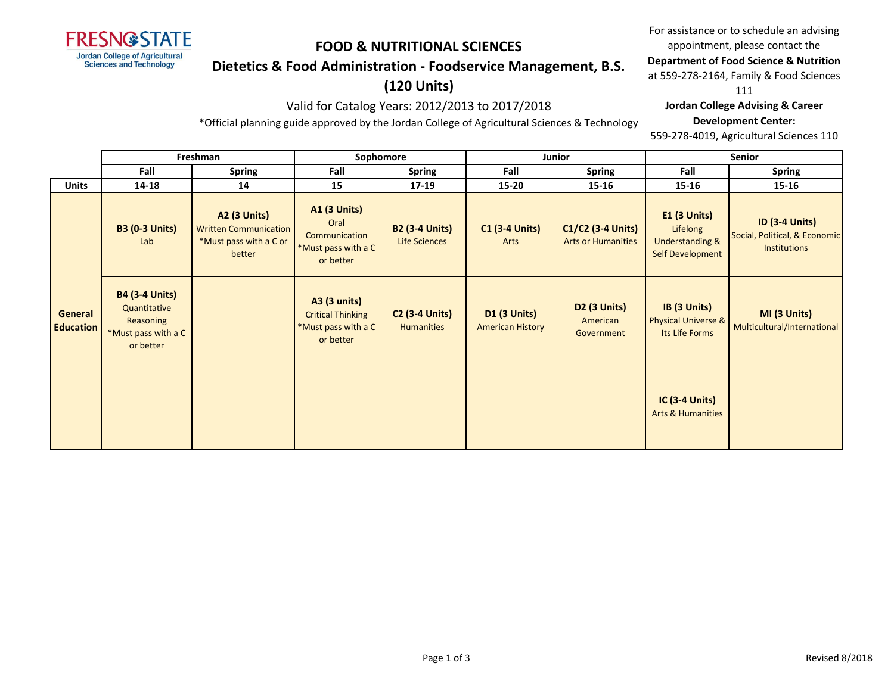

## **Dietetics & Food Administration - Foodservice Management, B.S.**

# **(120 Units)**

## Valid for Catalog Years: 2012/2013 to 2017/2018

\*Official planning guide approved by the Jordan College of Agricultural Sciences & Technology

For assistance or to schedule an advising appointment, please contact the

### **Department of Food Science & Nutrition**

at 559-278-2164, Family & Food Sciences

111

### **Jordan College Advising & Career**

#### **Development Center:**

559-278-4019, Agricultural Sciences 110

|                             | Freshman                                                                               |                                                                                         | Sophomore                                                                           |                                               |                                                | Junior                                         | <b>Senior</b>                                                                     |                                                                               |  |
|-----------------------------|----------------------------------------------------------------------------------------|-----------------------------------------------------------------------------------------|-------------------------------------------------------------------------------------|-----------------------------------------------|------------------------------------------------|------------------------------------------------|-----------------------------------------------------------------------------------|-------------------------------------------------------------------------------|--|
|                             | Fall                                                                                   | <b>Spring</b>                                                                           | Fall                                                                                | <b>Spring</b>                                 | Fall                                           | Spring                                         | Fall                                                                              | <b>Spring</b>                                                                 |  |
| <b>Units</b>                | 14-18                                                                                  | 14                                                                                      | 15                                                                                  | 17-19                                         | $15 - 20$                                      | 15-16                                          | 15-16                                                                             | 15-16                                                                         |  |
|                             | <b>B3 (0-3 Units)</b><br>Lab                                                           | <b>A2 (3 Units)</b><br><b>Written Communication</b><br>*Must pass with a C or<br>better | <b>A1 (3 Units)</b><br>Oral<br>Communication<br>*Must pass with a C<br>or better    | <b>B2 (3-4 Units)</b><br><b>Life Sciences</b> | <b>C1 (3-4 Units)</b><br>Arts                  | C1/C2 (3-4 Units)<br><b>Arts or Humanities</b> | <b>E1 (3 Units)</b><br>Lifelong<br><b>Understanding &amp;</b><br>Self Development | <b>ID (3-4 Units)</b><br>Social, Political, & Economic<br><b>Institutions</b> |  |
| General<br><b>Education</b> | <b>B4 (3-4 Units)</b><br>Quantitative<br>Reasoning<br>*Must pass with a C<br>or better |                                                                                         | <b>A3 (3 units)</b><br><b>Critical Thinking</b><br>*Must pass with a C<br>or better | <b>C2 (3-4 Units)</b><br><b>Humanities</b>    | <b>D1 (3 Units)</b><br><b>American History</b> | D2 (3 Units)<br>American<br>Government         | IB (3 Units)<br>Physical Universe &<br>Its Life Forms                             | MI (3 Units)<br>Multicultural/International                                   |  |
|                             |                                                                                        |                                                                                         |                                                                                     |                                               |                                                |                                                | <b>IC (3-4 Units)</b><br><b>Arts &amp; Humanities</b>                             |                                                                               |  |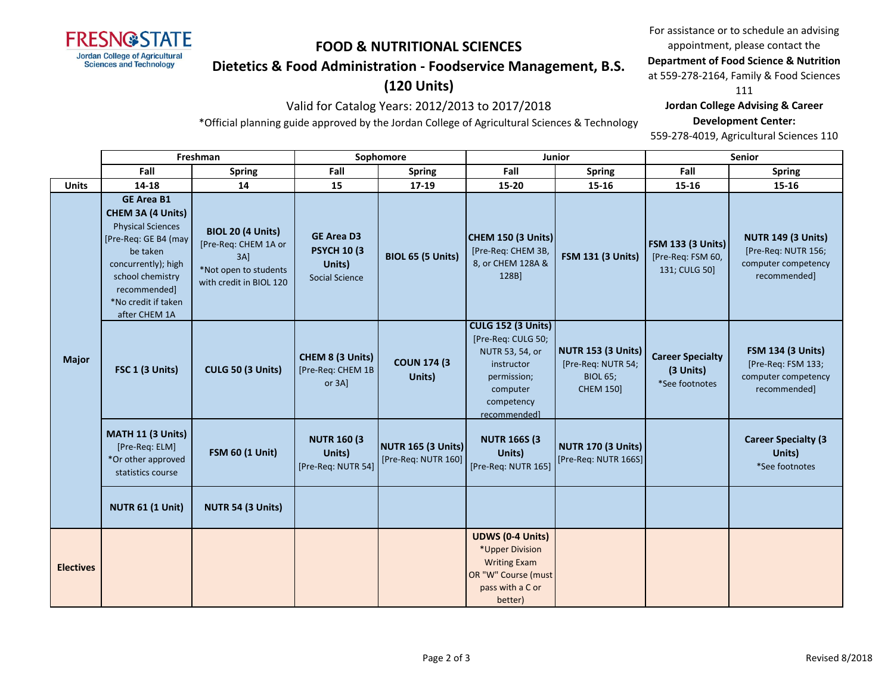

## **Dietetics & Food Administration - Foodservice Management, B.S.**

# **(120 Units)**

## Valid for Catalog Years: 2012/2013 to 2017/2018

\*Official planning guide approved by the Jordan College of Agricultural Sciences & Technology

For assistance or to schedule an advising appointment, please contact the

### **Department of Food Science & Nutrition**

at 559-278-2164, Family & Food Sciences

111

### **Jordan College Advising & Career**

#### **Development Center:**

559-278-4019, Agricultural Sciences 110

|                  | Freshman                                                                                                                                                                                                  |                                                                                                             | Sophomore                                                                   |                                           | <b>Junior</b>                                                                                                                             |                                                                                        | Senior                                                         |                                                                                         |
|------------------|-----------------------------------------------------------------------------------------------------------------------------------------------------------------------------------------------------------|-------------------------------------------------------------------------------------------------------------|-----------------------------------------------------------------------------|-------------------------------------------|-------------------------------------------------------------------------------------------------------------------------------------------|----------------------------------------------------------------------------------------|----------------------------------------------------------------|-----------------------------------------------------------------------------------------|
|                  | Fall                                                                                                                                                                                                      | <b>Spring</b>                                                                                               | Fall                                                                        | <b>Spring</b>                             | Fall                                                                                                                                      | <b>Spring</b>                                                                          | Fall                                                           | <b>Spring</b>                                                                           |
| <b>Units</b>     | 14-18                                                                                                                                                                                                     | 14                                                                                                          | 15                                                                          | 17-19                                     | 15-20                                                                                                                                     | 15-16                                                                                  | 15-16                                                          | 15-16                                                                                   |
| <b>Major</b>     | <b>GE Area B1</b><br>CHEM 3A (4 Units)<br><b>Physical Sciences</b><br>[Pre-Req: GE B4 (may<br>be taken<br>concurrently); high<br>school chemistry<br>recommended]<br>*No credit if taken<br>after CHEM 1A | <b>BIOL 20 (4 Units)</b><br>[Pre-Req: CHEM 1A or<br>3AI<br>*Not open to students<br>with credit in BIOL 120 | <b>GE Area D3</b><br><b>PSYCH 10 (3)</b><br>Units)<br><b>Social Science</b> | <b>BIOL 65 (5 Units)</b>                  | <b>CHEM 150 (3 Units)</b><br>[Pre-Req: CHEM 3B,<br>8, or CHEM 128A &<br>128B]                                                             | <b>FSM 131 (3 Units)</b>                                                               | <b>FSM 133 (3 Units)</b><br>[Pre-Req: FSM 60,<br>131; CULG 50] | <b>NUTR 149 (3 Units)</b><br>[Pre-Req: NUTR 156;<br>computer competency<br>recommended] |
|                  | FSC 1 (3 Units)                                                                                                                                                                                           | <b>CULG 50 (3 Units)</b>                                                                                    | CHEM 8 (3 Units)<br>[Pre-Req: CHEM 1B<br>or 3A]                             | <b>COUN 174 (3)</b><br>Units)             | <b>CULG 152 (3 Units)</b><br>[Pre-Req: CULG 50;<br>NUTR 53, 54, or<br>instructor<br>permission;<br>computer<br>competency<br>recommended] | <b>NUTR 153 (3 Units)</b><br>[Pre-Req: NUTR 54;<br><b>BIOL 65;</b><br><b>CHEM 150]</b> | <b>Career Specialty</b><br>(3 Units)<br>*See footnotes         | <b>FSM 134 (3 Units)</b><br>[Pre-Req: FSM 133;<br>computer competency<br>recommended]   |
|                  | MATH 11 (3 Units)<br>[Pre-Req: ELM]<br>*Or other approved<br>statistics course                                                                                                                            | <b>FSM 60 (1 Unit)</b>                                                                                      | <b>NUTR 160 (3)</b><br>Units)<br>[Pre-Req: NUTR 54]                         | NUTR 165 (3 Units)<br>[Pre-Req: NUTR 160] | <b>NUTR 166S (3)</b><br>Units)<br>[Pre-Req: NUTR 165]                                                                                     | <b>NUTR 170 (3 Units)</b><br>[Pre-Req: NUTR 166S]                                      |                                                                | <b>Career Specialty (3)</b><br>Units)<br>*See footnotes                                 |
|                  | <b>NUTR 61 (1 Unit)</b>                                                                                                                                                                                   | NUTR 54 (3 Units)                                                                                           |                                                                             |                                           |                                                                                                                                           |                                                                                        |                                                                |                                                                                         |
| <b>Electives</b> |                                                                                                                                                                                                           |                                                                                                             |                                                                             |                                           | <b>UDWS (0-4 Units)</b><br>*Upper Division<br><b>Writing Exam</b><br>OR "W" Course (must<br>pass with a C or<br>better)                   |                                                                                        |                                                                |                                                                                         |